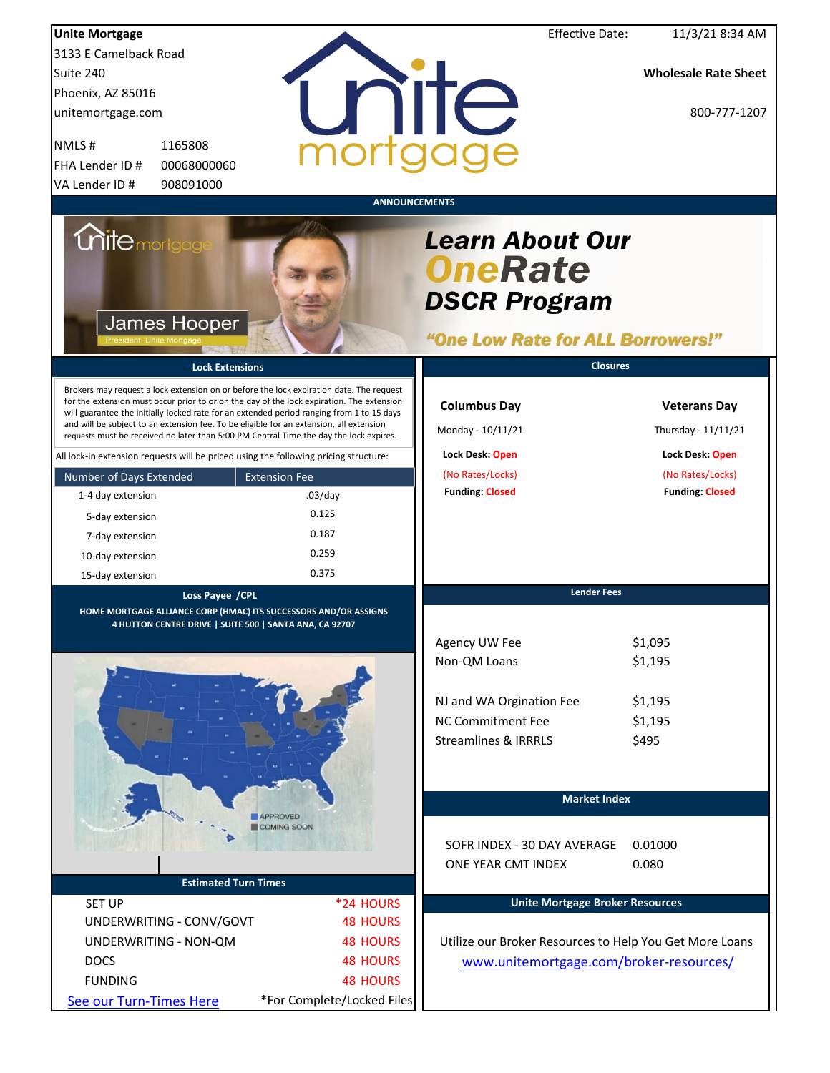| <b>Unite Mortgage</b>                                                                                                                                                                                                                                                                                                                                                                                                                                                  |                            | <b>Effective Date:</b>                                                                               | 11/3/21 8:34 AM                            |
|------------------------------------------------------------------------------------------------------------------------------------------------------------------------------------------------------------------------------------------------------------------------------------------------------------------------------------------------------------------------------------------------------------------------------------------------------------------------|----------------------------|------------------------------------------------------------------------------------------------------|--------------------------------------------|
| 3133 E Camelback Road                                                                                                                                                                                                                                                                                                                                                                                                                                                  |                            |                                                                                                      |                                            |
| Suite 240                                                                                                                                                                                                                                                                                                                                                                                                                                                              |                            |                                                                                                      | <b>Wholesale Rate Sheet</b>                |
| Phoenix, AZ 85016                                                                                                                                                                                                                                                                                                                                                                                                                                                      |                            |                                                                                                      |                                            |
| unitemortgage.com                                                                                                                                                                                                                                                                                                                                                                                                                                                      |                            | nite                                                                                                 | 800-777-1207                               |
| NMLS#<br>1165808                                                                                                                                                                                                                                                                                                                                                                                                                                                       |                            |                                                                                                      |                                            |
| FHA Lender ID #<br>00068000060                                                                                                                                                                                                                                                                                                                                                                                                                                         |                            |                                                                                                      |                                            |
| 908091000<br>VA Lender ID#                                                                                                                                                                                                                                                                                                                                                                                                                                             |                            |                                                                                                      |                                            |
|                                                                                                                                                                                                                                                                                                                                                                                                                                                                        | <b>ANNOUNCEMENTS</b>       |                                                                                                      |                                            |
| <i><b>Unite</b> mortgage</i><br><b>James Hooper</b>                                                                                                                                                                                                                                                                                                                                                                                                                    |                            | <b>Learn About Our</b><br><b>OneRate</b><br><b>DSCR Program</b><br>"One Low Rate for ALL Borrowers!" |                                            |
| <b>Lock Extensions</b>                                                                                                                                                                                                                                                                                                                                                                                                                                                 |                            | <b>Closures</b>                                                                                      |                                            |
| Brokers may request a lock extension on or before the lock expiration date. The request<br>for the extension must occur prior to or on the day of the lock expiration. The extension<br>will guarantee the initially locked rate for an extended period ranging from 1 to 15 days<br>and will be subject to an extension fee. To be eligible for an extension, all extension<br>requests must be received no later than 5:00 PM Central Time the day the lock expires. |                            | <b>Columbus Day</b><br>Monday - 10/11/21                                                             | <b>Veterans Day</b><br>Thursday - 11/11/21 |
| All lock-in extension requests will be priced using the following pricing structure:                                                                                                                                                                                                                                                                                                                                                                                   |                            | Lock Desk: Open                                                                                      | Lock Desk: Open                            |
| Number of Days Extended<br><b>Extension Fee</b>                                                                                                                                                                                                                                                                                                                                                                                                                        |                            | (No Rates/Locks)                                                                                     | (No Rates/Locks)                           |
| 1-4 day extension                                                                                                                                                                                                                                                                                                                                                                                                                                                      | $.03$ /day                 | <b>Funding: Closed</b>                                                                               | <b>Funding: Closed</b>                     |
| 5-day extension                                                                                                                                                                                                                                                                                                                                                                                                                                                        | 0.125                      |                                                                                                      |                                            |
| 7-day extension                                                                                                                                                                                                                                                                                                                                                                                                                                                        | 0.187                      |                                                                                                      |                                            |
| 10-day extension                                                                                                                                                                                                                                                                                                                                                                                                                                                       | 0.259                      |                                                                                                      |                                            |
| 15-day extension                                                                                                                                                                                                                                                                                                                                                                                                                                                       | 0.375                      |                                                                                                      |                                            |
| Loss Payee / CPL                                                                                                                                                                                                                                                                                                                                                                                                                                                       |                            | <b>Lender Fees</b>                                                                                   |                                            |
| HOME MORTGAGE ALLIANCE CORP (HMAC) ITS SUCCESSORS AND/OR ASSIGNS                                                                                                                                                                                                                                                                                                                                                                                                       |                            |                                                                                                      |                                            |
| 4 HUTTON CENTRE DRIVE   SUITE 500   SANTA ANA, CA 92707                                                                                                                                                                                                                                                                                                                                                                                                                |                            |                                                                                                      |                                            |
|                                                                                                                                                                                                                                                                                                                                                                                                                                                                        |                            | Agency UW Fee<br>Non-QM Loans                                                                        | \$1,095<br>\$1,195                         |
|                                                                                                                                                                                                                                                                                                                                                                                                                                                                        |                            |                                                                                                      |                                            |
|                                                                                                                                                                                                                                                                                                                                                                                                                                                                        |                            |                                                                                                      |                                            |
|                                                                                                                                                                                                                                                                                                                                                                                                                                                                        |                            | NJ and WA Orgination Fee                                                                             | \$1,195                                    |
|                                                                                                                                                                                                                                                                                                                                                                                                                                                                        |                            | NC Commitment Fee                                                                                    | \$1,195                                    |
|                                                                                                                                                                                                                                                                                                                                                                                                                                                                        |                            | <b>Streamlines &amp; IRRRLS</b>                                                                      | \$495                                      |
|                                                                                                                                                                                                                                                                                                                                                                                                                                                                        |                            |                                                                                                      |                                            |
|                                                                                                                                                                                                                                                                                                                                                                                                                                                                        |                            |                                                                                                      |                                            |
|                                                                                                                                                                                                                                                                                                                                                                                                                                                                        |                            | <b>Market Index</b>                                                                                  |                                            |
| APPROVED<br>COMING SOON                                                                                                                                                                                                                                                                                                                                                                                                                                                |                            |                                                                                                      |                                            |
|                                                                                                                                                                                                                                                                                                                                                                                                                                                                        |                            | SOFR INDEX - 30 DAY AVERAGE                                                                          | 0.01000                                    |
|                                                                                                                                                                                                                                                                                                                                                                                                                                                                        |                            | ONE YEAR CMT INDEX                                                                                   | 0.080                                      |
| <b>Estimated Turn Times</b>                                                                                                                                                                                                                                                                                                                                                                                                                                            |                            |                                                                                                      |                                            |
| <b>SET UP</b>                                                                                                                                                                                                                                                                                                                                                                                                                                                          | *24 HOURS                  | <b>Unite Mortgage Broker Resources</b>                                                               |                                            |
| UNDERWRITING - CONV/GOVT                                                                                                                                                                                                                                                                                                                                                                                                                                               | <b>48 HOURS</b>            |                                                                                                      |                                            |
| UNDERWRITING - NON-QM                                                                                                                                                                                                                                                                                                                                                                                                                                                  | <b>48 HOURS</b>            | Utilize our Broker Resources to Help You Get More Loans                                              |                                            |
| <b>DOCS</b>                                                                                                                                                                                                                                                                                                                                                                                                                                                            | <b>48 HOURS</b>            | www.unitemortgage.com/broker-resources/                                                              |                                            |
| <b>FUNDING</b>                                                                                                                                                                                                                                                                                                                                                                                                                                                         | <b>48 HOURS</b>            |                                                                                                      |                                            |
| See our Turn-Times Here                                                                                                                                                                                                                                                                                                                                                                                                                                                | *For Complete/Locked Files |                                                                                                      |                                            |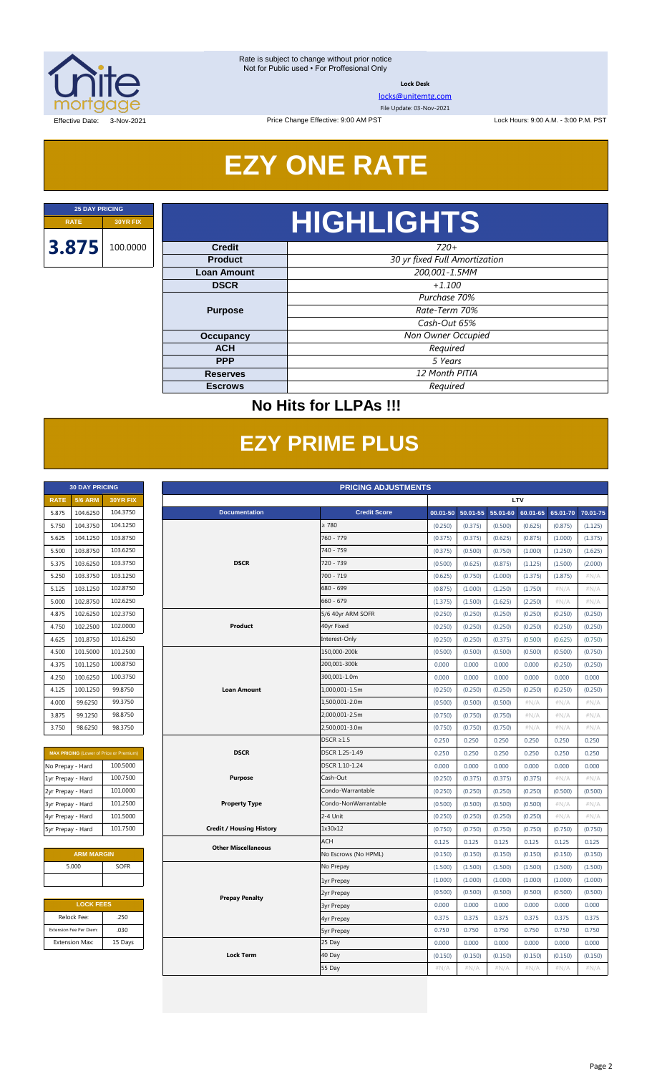

**Lock Desk**

[locks@unitemtg.com](mailto:locks@unitemtg.com)

File Update: 03-Nov-2021

Lock Hours: 9:00 A.M. - 3:00 P.M. PST

Effective Date: 3-Nov-2021

# **EZY ONE RATE**

Price Change Effective: 9:00 AM PST

# **RATE 30YR FIX HIGHLIGHTS**

| <b>Credit</b>      | $720+$                        |  |  |  |
|--------------------|-------------------------------|--|--|--|
| <b>Product</b>     | 30 yr fixed Full Amortization |  |  |  |
| <b>Loan Amount</b> | 200,001-1.5MM                 |  |  |  |
| <b>DSCR</b>        | $+1.100$                      |  |  |  |
|                    | Purchase 70%                  |  |  |  |
| <b>Purpose</b>     | Rate-Term 70%                 |  |  |  |
|                    | Cash-Out 65%                  |  |  |  |
| <b>Occupancy</b>   | Non Owner Occupied            |  |  |  |
| <b>ACH</b>         | Required                      |  |  |  |
| <b>PPP</b>         | 5 Years                       |  |  |  |
| <b>Reserves</b>    | 12 Month PITIA                |  |  |  |
| <b>Escrows</b>     | Required                      |  |  |  |

### **No Hits for LLPAs !!!**

# **EZY PRIME PLUS**

|             | <b>30 DAY PRICING</b> |                 |
|-------------|-----------------------|-----------------|
| <b>RATE</b> | <b>5/6 ARM</b>        | <b>30YR FIX</b> |
| 5.875       | 104.6250              | 104.3750        |
| 5.750       | 104.3750              | 104.1250        |
| 5.625       | 104.1250              | 103.8750        |
| 5.500       | 103.8750              | 103.6250        |
| 5.375       | 103.6250              | 103.3750        |
| 5.250       | 103.3750              | 103.1250        |
| 5.125       | 103.1250              | 102.8750        |
| 5.000       | 102.8750              | 102.6250        |
| 4.875       | 102.6250              | 102.3750        |
| 4.750       | 102.2500              | 102.0000        |
| 4.625       | 101.8750              | 101.6250        |
| 4.500       | 101.5000              | 101.2500        |
| 4.375       | 101.1250              | 100.8750        |
| 4.250       | 100.6250              | 100.3750        |
| 4.125       | 100.1250              | 99.8750         |
| 4.000       | 99.6250               | 99.3750         |
| 3.875       | 99.1250               | 98.8750         |
| 3.750       | 98.6250               | 98.3750         |

| <b>MAX PRICING</b> (Lower of Price or Premium) |          |  |  |  |  |  |  |
|------------------------------------------------|----------|--|--|--|--|--|--|
| No Prepay - Hard                               | 100.5000 |  |  |  |  |  |  |
| 1yr Prepay - Hard                              | 100.7500 |  |  |  |  |  |  |
| 2yr Prepay - Hard                              | 101.0000 |  |  |  |  |  |  |
| 3yr Prepay - Hard                              | 101.2500 |  |  |  |  |  |  |
| 4yr Prepay - Hard                              | 101.5000 |  |  |  |  |  |  |
| 5yr Prepay - Hard                              | 101.7500 |  |  |  |  |  |  |

| <b>ARM MARGIN</b> |             |  |  |  |  |  |  |
|-------------------|-------------|--|--|--|--|--|--|
| 5.000             | <b>SOFR</b> |  |  |  |  |  |  |
|                   |             |  |  |  |  |  |  |

| <b>LOCK FEES</b>        |         |  |  |  |  |  |  |  |
|-------------------------|---------|--|--|--|--|--|--|--|
| Relock Fee:             | .250    |  |  |  |  |  |  |  |
| Extension Fee Per Diem: | .030    |  |  |  |  |  |  |  |
| <b>Extension Max:</b>   | 15 Days |  |  |  |  |  |  |  |

|                   | <b>30 DAY PRICING</b>   |                                                | <b>PRICING ADJUSTMENTS</b> |                                 |                      |         |                   |                   |         |                   |         |  |
|-------------------|-------------------------|------------------------------------------------|----------------------------|---------------------------------|----------------------|---------|-------------------|-------------------|---------|-------------------|---------|--|
| <b>RATE</b>       | <b>5/6 ARM</b>          | 30YR FIX                                       |                            |                                 |                      |         | LTV               |                   |         |                   |         |  |
| 5.875             | 104.6250                | 104.3750                                       |                            | <b>Documentation</b>            | <b>Credit Score</b>  |         | 00.01-50 50.01-55 | 55.01-60 60.01-65 |         | 65.01-70 70.01-75 |         |  |
| 5.750             | 104.3750                | 104.1250                                       |                            |                                 | $\geq 780$           | (0.250) | (0.375)           | (0.500)           | (0.625) | (0.875)           | (1.125) |  |
| 5.625             | 104.1250                | 103.8750                                       |                            |                                 | 760 - 779            | (0.375) | (0.375)           | (0.625)           | (0.875) | (1.000)           | (1.375) |  |
| 5.500             | 103.8750                | 103.6250                                       |                            |                                 | 740 - 759            | (0.375) | (0.500)           | (0.750)           | (1.000) | (1.250)           | (1.625) |  |
| 5.375             | 103.6250                | 103.3750                                       |                            | <b>DSCR</b>                     | 720 - 739            | (0.500) | (0.625)           | (0.875)           | (1.125) | (1.500)           | (2.000) |  |
| 5.250             | 103.3750                | 103.1250                                       |                            |                                 | 700 - 719            | (0.625) | (0.750)           | (1.000)           | (1.375) | (1.875)           | #N/A    |  |
| 5.125             | 103.1250                | 102.8750                                       |                            |                                 | 680 - 699            | (0.875) | (1.000)           | (1.250)           | (1.750) | #N/A              | #N/A    |  |
| 5.000             | 102.8750                | 102.6250                                       |                            |                                 | $660 - 679$          | (1.375) | (1.500)           | (1.625)           | (2.250) | #N/A              | #N/A    |  |
| 4.875             | 102.6250                | 102.3750                                       |                            |                                 | 5/6 40yr ARM SOFR    | (0.250) | (0.250)           | (0.250)           | (0.250) | (0.250)           | (0.250) |  |
| 4.750             | 102.2500                | 102.0000                                       |                            | Product                         | 40yr Fixed           | (0.250) | (0.250)           | (0.250)           | (0.250) | (0.250)           | (0.250) |  |
| 4.625             | 101.8750                | 101.6250                                       |                            |                                 | Interest-Only        | (0.250) | (0.250)           | (0.375)           | (0.500) | (0.625)           | (0.750) |  |
| 4.500             | 101.5000                | 101.2500                                       |                            |                                 | 150,000-200k         | (0.500) | (0.500)           | (0.500)           | (0.500) | (0.500)           | (0.750) |  |
| 4.375             | 101.1250                | 100.8750                                       |                            |                                 | 200,001-300k         | 0.000   | 0.000             | 0.000             | 0.000   | (0.250)           | (0.250) |  |
| 4.250             | 100.6250                | 100.3750                                       |                            |                                 | 300,001-1.0m         | 0.000   | 0.000             | 0.000             | 0.000   | 0.000             | 0.000   |  |
| 4.125             | 100.1250                | 99.8750                                        |                            | <b>Loan Amount</b>              | 1,000,001-1.5m       | (0.250) | (0.250)           | (0.250)           | (0.250) | (0.250)           | (0.250) |  |
| 4.000             | 99.6250                 | 99.3750                                        |                            |                                 | 1,500,001-2.0m       | (0.500) | (0.500)           | (0.500)           | $\#N/A$ | #N/A              | #N/A    |  |
| 3.875             | 99.1250                 | 98.8750                                        |                            |                                 | 2,000,001-2.5m       | (0.750) | (0.750)           | (0.750)           | $\#N/A$ | #N/A              | #N/A    |  |
| 3.750             | 98.6250                 | 98.3750                                        |                            |                                 | 2,500,001-3.0m       | (0.750) | (0.750)           | (0.750)           | $\#N/A$ | #N/A              | #N/A    |  |
|                   |                         |                                                |                            |                                 | $DSCR \geq 1.5$      | 0.250   | 0.250             | 0.250             | 0.250   | 0.250             | 0.250   |  |
|                   |                         | <b>MAX PRICING</b> (Lower of Price or Premium) |                            | <b>DSCR</b>                     | DSCR 1.25-1.49       | 0.250   | 0.250             | 0.250             | 0.250   | 0.250             | 0.250   |  |
| No Prepay - Hard  |                         | 100.5000                                       |                            |                                 | DSCR 1.10-1.24       | 0.000   | 0.000             | 0.000             | 0.000   | 0.000             | 0.000   |  |
| 1yr Prepay - Hard |                         | 100.7500                                       |                            | <b>Purpose</b>                  | Cash-Out             | (0.250) | (0.375)           | (0.375)           | (0.375) | #N/A              | #N/A    |  |
| 2yr Prepay - Hard |                         | 101.0000                                       |                            |                                 | Condo-Warrantable    | (0.250) | (0.250)           | (0.250)           | (0.250) | (0.500)           | (0.500) |  |
| 3yr Prepay - Hard |                         | 101.2500                                       |                            | <b>Property Type</b>            | Condo-NonWarrantable | (0.500) | (0.500)           | (0.500)           | (0.500) | #N/A              | #N/A    |  |
| 4yr Prepay - Hard |                         | 101.5000                                       |                            |                                 | 2-4 Unit             | (0.250) | (0.250)           | (0.250)           | (0.250) | #N/A              | #N/A    |  |
| 5yr Prepay - Hard |                         | 101.7500                                       |                            | <b>Credit / Housing History</b> | 1x30x12              | (0.750) | (0.750)           | (0.750)           | (0.750) | (0.750)           | (0.750) |  |
|                   |                         |                                                |                            | <b>Other Miscellaneous</b>      | <b>ACH</b>           | 0.125   | 0.125             | 0.125             | 0.125   | 0.125             | 0.125   |  |
|                   | <b>ARM MARGIN</b>       |                                                |                            |                                 | No Escrows (No HPML) | (0.150) | (0.150)           | (0.150)           | (0.150) | (0.150)           | (0.150) |  |
|                   | 5.000                   | <b>SOFR</b>                                    |                            |                                 | No Prepay            | (1.500) | (1.500)           | (1.500)           | (1.500) | (1.500)           | (1.500) |  |
|                   |                         |                                                |                            |                                 | 1yr Prepay           | (1.000) | (1.000)           | (1.000)           | (1.000) | (1.000)           | (1.000) |  |
|                   |                         |                                                |                            | <b>Prepay Penalty</b>           | 2yr Prepay           | (0.500) | (0.500)           | (0.500)           | (0.500) | (0.500)           | (0.500) |  |
|                   | <b>LOCK FEES</b>        |                                                |                            |                                 | <b>3yr Prepay</b>    | 0.000   | 0.000             | 0.000             | 0.000   | 0.000             | 0.000   |  |
|                   | Relock Fee:             | .250                                           |                            |                                 | 4yr Prepay           | 0.375   | 0.375             | 0.375             | 0.375   | 0.375             | 0.375   |  |
|                   | Extension Fee Per Diem: | .030                                           |                            |                                 | <b>5yr Prepay</b>    | 0.750   | 0.750             | 0.750             | 0.750   | 0.750             | 0.750   |  |
|                   | <b>Extension Max:</b>   | 15 Days                                        |                            |                                 | 25 Day               | 0.000   | 0.000             | 0.000             | 0.000   | 0.000             | 0.000   |  |
|                   |                         |                                                |                            | <b>Lock Term</b>                | 40 Day               | (0.150) | (0.150)           | (0.150)           | (0.150) | (0.150)           | (0.150) |  |
|                   |                         |                                                |                            |                                 | 55 Day               | #N/A    | #N/A              | #N/A              | #N/A    | #N/A              | #N/A    |  |
|                   |                         |                                                |                            |                                 |                      |         |                   |                   |         |                   |         |  |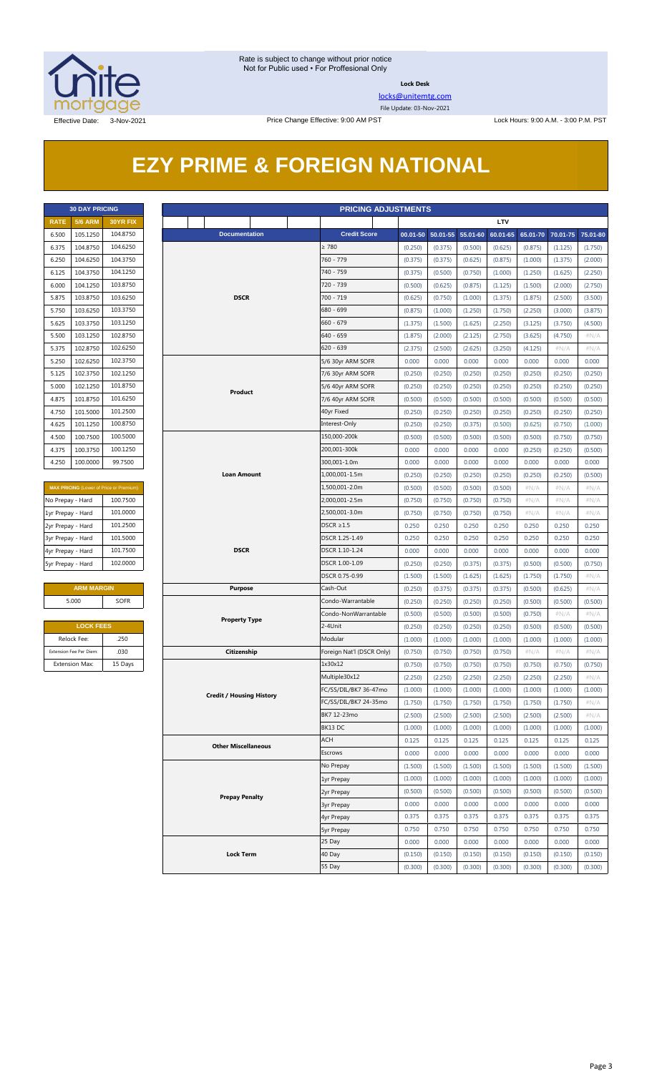

**Lock Desk**

[locks@unitemtg.com](mailto:locks@unitemtg.com)

File Update: 03-Nov-2021

# **EZY PRIME & FOREIGN NATIONAL**

| <b>30 DAY PRICING</b> |                |                 |  |  |  |  |  |  |  |
|-----------------------|----------------|-----------------|--|--|--|--|--|--|--|
| <b>RATE</b>           | <b>5/6 ARM</b> | <b>30YR FIX</b> |  |  |  |  |  |  |  |
| 6.500                 | 105.1250       | 104.8750        |  |  |  |  |  |  |  |
| 6.375                 | 104.8750       | 104.6250        |  |  |  |  |  |  |  |
| 6,250                 | 104.6250       | 104.3750        |  |  |  |  |  |  |  |
| 6125                  | 104.3750       | 104.1250        |  |  |  |  |  |  |  |
| 6.000                 | 104.1250       | 103.8750        |  |  |  |  |  |  |  |
| 5.875                 | 103.8750       | 103.6250        |  |  |  |  |  |  |  |
| 5.750                 | 103.6250       | 103.3750        |  |  |  |  |  |  |  |
| 5.625                 | 103.3750       | 103.1250        |  |  |  |  |  |  |  |
| 5.500                 | 103.1250       | 102.8750        |  |  |  |  |  |  |  |
| 5.375                 | 102.8750       | 102.6250        |  |  |  |  |  |  |  |
| 5.250                 | 102.6250       | 102.3750        |  |  |  |  |  |  |  |
| 5.125                 | 102.3750       | 102.1250        |  |  |  |  |  |  |  |
| 5.000                 | 102.1250       | 101.8750        |  |  |  |  |  |  |  |
| 4.875                 | 101.8750       | 101.6250        |  |  |  |  |  |  |  |
| 4.750                 | 101.5000       | 101.2500        |  |  |  |  |  |  |  |
| 4.625                 | 101.1250       | 100.8750        |  |  |  |  |  |  |  |
| 4.500                 | 100.7500       | 100.5000        |  |  |  |  |  |  |  |
| 4.375                 | 100.3750       | 100.1250        |  |  |  |  |  |  |  |
| 4.250                 | 100.0000       | 99.7500         |  |  |  |  |  |  |  |

| <b>MAX PRICING</b> (Lower of Price or Premium) |  |  |  |  |  |  |  |  |
|------------------------------------------------|--|--|--|--|--|--|--|--|
| 100.7500                                       |  |  |  |  |  |  |  |  |
| 101.0000                                       |  |  |  |  |  |  |  |  |
| 101.2500                                       |  |  |  |  |  |  |  |  |
| 101.5000                                       |  |  |  |  |  |  |  |  |
| 101.7500                                       |  |  |  |  |  |  |  |  |
| 102,0000                                       |  |  |  |  |  |  |  |  |
|                                                |  |  |  |  |  |  |  |  |

#### **ARM MARGIN Purpose** Cash-Out 5.000 SOFR

| <b>LOCK FEES</b>        |         |  |  |  |  |  |  |  |
|-------------------------|---------|--|--|--|--|--|--|--|
| Relock Fee:             | .250    |  |  |  |  |  |  |  |
| Extension Fee Per Diem: | .030    |  |  |  |  |  |  |  |
| <b>Extension Max:</b>   | 15 Days |  |  |  |  |  |  |  |

|                               | <b>30 DAY PRICING</b>   |                                                |                       |                                 |                                  | <b>PRICING ADJUSTMENTS</b>             |                    |                            |                    |                    |                    |                    |                    |
|-------------------------------|-------------------------|------------------------------------------------|-----------------------|---------------------------------|----------------------------------|----------------------------------------|--------------------|----------------------------|--------------------|--------------------|--------------------|--------------------|--------------------|
| <b>RATE</b>                   | <b>5/6 ARM</b>          | <b>30YR FIX</b>                                |                       |                                 |                                  |                                        |                    |                            |                    | LTV                |                    |                    |                    |
| 6.500                         | 105.1250                | 104.8750                                       |                       | <b>Documentation</b>            |                                  | <b>Credit Score</b>                    |                    | 00.01-50 50.01-55 55.01-60 |                    | 60.01-65           | 65.01-70           | 70.01-75           | 75.01-80           |
| 6.375                         | 104.8750                | 104.6250                                       |                       |                                 |                                  | $\geq 780$                             | (0.250)            | (0.375)                    | (0.500)            | (0.625)            | (0.875)            | (1.125)            | (1.750)            |
| 6.250                         | 104.6250                | 104.3750                                       |                       |                                 |                                  | 760 - 779                              | (0.375)            | (0.375)                    | (0.625)            | (0.875)            | (1.000)            | (1.375)            | (2.000)            |
| 6.125                         | 104.3750                | 104.1250                                       |                       |                                 |                                  | 740 - 759                              | (0.375)            | (0.500)                    | (0.750)            | (1.000)            | (1.250)            | (1.625)            | (2.250)            |
| 6.000                         | 104.1250                | 103.8750                                       |                       |                                 |                                  | 720 - 739                              | (0.500)            | (0.625)                    | (0.875)            | (1.125)            | (1.500)            | (2.000)            | (2.750)            |
| 5.875                         | 103.8750                | 103.6250                                       |                       | <b>DSCR</b>                     |                                  | $700 - 719$                            | (0.625)            | (0.750)                    | (1.000)            | (1.375)            | (1.875)            | (2.500)            | (3.500)            |
| 5.750                         | 103.6250                | 103.3750                                       |                       |                                 |                                  | 680 - 699                              | (0.875)            | (1.000)                    | (1.250)            | (1.750)            | (2.250)            | (3.000)            | (3.875)            |
| 5.625                         | 103.3750                | 103.1250                                       |                       |                                 |                                  | $660 - 679$                            | (1.375)            | (1.500)                    | (1.625)            | (2.250)            | (3.125)            | (3.750)            | (4.500)            |
| 5.500                         | 103.1250                | 102.8750                                       |                       |                                 |                                  |                                        | (1.875)            | (2.000)                    | (2.125)            | (2.750)            | (3.625)            | (4.750)            | #N/A               |
| 5.375                         | 102.8750                | 102.6250                                       |                       |                                 |                                  |                                        | (2.375)            | (2.500)                    | (2.625)            | (3.250)            | (4.125)            | #N/A               | $\#N/A$            |
| 5.250                         | 102.6250                | 102.3750                                       |                       |                                 |                                  | 5/6 30yr ARM SOFR                      | 0.000              | 0.000                      | 0.000              | 0.000              | 0.000              | 0.000              | 0.000              |
| 5.125                         | 102.3750                | 102.1250                                       |                       |                                 |                                  | 7/6 30yr ARM SOFR                      | (0.250)            | (0.250)                    | (0.250)            | (0.250)            | (0.250)            | (0.250)            | (0.250)            |
| 5.000                         | 102.1250                | 101.8750                                       |                       | Product                         |                                  | 5/6 40yr ARM SOFR                      | (0.250)            | (0.250)                    | (0.250)            | (0.250)            | (0.250)            | (0.250)            | (0.250)            |
| 4.875                         | 101.8750                | 101.6250                                       |                       |                                 |                                  | 7/6 40yr ARM SOFR                      | (0.500)            | (0.500)                    | (0.500)            | (0.500)            | (0.500)            | (0.500)            | (0.500)            |
| 4.750                         | 101.5000                | 101.2500                                       |                       |                                 |                                  | 40yr Fixed                             | (0.250)            | (0.250)                    | (0.250)            | (0.250)            | (0.250)            | (0.250)            | (0.250)            |
| 4.625                         | 101.1250                | 100.8750                                       |                       |                                 |                                  | Interest-Only                          | (0.250)            | (0.250)                    | (0.375)            | (0.500)            | (0.625)            | (0.750)            | (1.000)            |
| 4.500                         | 100.7500                | 100.5000                                       |                       |                                 |                                  | 150,000-200k                           | (0.500)            | (0.500)                    | (0.500)            | (0.500)            | (0.500)            | (0.750)            | (0.750)            |
| 4.375                         | 100.3750                | 100.1250                                       |                       |                                 |                                  | 200,001-300k                           | 0.000              | 0.000                      | 0.000              | 0.000              | (0.250)            | (0.250)            | (0.500)            |
| 4.250                         | 100.0000                | 99.7500                                        |                       |                                 |                                  | 300,001-1.0m                           | 0.000              | 0.000                      | 0.000              | 0.000              | 0.000              | 0.000              | 0.000              |
|                               |                         |                                                | Loan Amount           |                                 |                                  | 1,000,001-1.5m                         | (0.250)            | (0.250)                    | (0.250)            | (0.250)            | (0.250)            | (0.250)            | (0.500)            |
|                               |                         | <b>MAX PRICING</b> (Lower of Price or Premium) |                       |                                 |                                  | 1,500,001-2.0m                         | (0.500)            | (0.500)                    | (0.500)            | (0.500)            | $\#N/A$            | #N/A               | $\#N/A$            |
| No Prepay - Hard              |                         | 100.7500                                       |                       |                                 |                                  | 2,000,001-2.5m                         | (0.750)            | (0.750)                    | (0.750)            | (0.750)            | #N/A               | #N/A               | #N/A               |
| 1yr Prepay - Hard             |                         | 101.0000                                       |                       |                                 |                                  | 2,500,001-3.0m                         | (0.750)            | (0.750)                    | (0.750)            | (0.750)            | $\#N/A$            | #N/A               | #N/A               |
| 2yr Prepay - Hard             |                         | 101.2500                                       |                       |                                 |                                  | $DSCR \geq 1.5$                        | 0.250              | 0.250                      | 0.250              | 0.250              | 0.250              | 0.250              | 0.250              |
| 3yr Prepay - Hard             |                         | 101.5000                                       |                       |                                 |                                  | DSCR 1.25-1.49                         | 0.250              | 0.250                      | 0.250              | 0.250              | 0.250              | 0.250              | 0.250              |
| 4yr Prepay - Hard             |                         | 101.7500                                       |                       | <b>DSCR</b>                     |                                  | DSCR 1.10-1.24                         | 0.000              | 0.000                      | 0.000              | 0.000              | 0.000              | 0.000              | 0.000              |
| 102.0000<br>5yr Prepay - Hard |                         |                                                |                       |                                 | DSCR 1.00-1.09<br>DSCR 0.75-0.99 | (0.250)                                | (0.250)            | (0.375)                    | (0.375)            | (0.500)            | (0.500)            | (0.750)            |                    |
|                               |                         |                                                |                       |                                 |                                  | (1.500)                                | (1.500)            | (1.625)                    | (1.625)            | (1.750)            | (1.750)            | $\#N/A$            |                    |
|                               | <b>ARM MARGIN</b>       |                                                |                       | <b>Purpose</b>                  |                                  | Cash-Out                               | (0.250)            | (0.375)                    | (0.375)            | (0.375)            | (0.500)            | (0.625)            | $\#N/A$            |
|                               | 5.000<br><b>SOFR</b>    |                                                |                       | Condo-Warrantable               | (0.250)                          | (0.250)                                | (0.250)            | (0.250)                    | (0.500)            | (0.500)            | (0.500)            |                    |                    |
|                               |                         |                                                | <b>Property Type</b>  |                                 |                                  | Condo-NonWarrantable                   | (0.500)            | (0.500)                    | (0.500)            | (0.500)            | (0.750)            | $\#N/A$            | $\#N/A$            |
|                               | <b>LOCK FEES</b>        |                                                |                       |                                 |                                  | 2-4Unit                                | (0.250)            | (0.250)                    | (0.250)            | (0.250)            | (0.500)            | (0.500)            | (0.500)            |
|                               | Relock Fee:             | .250                                           |                       |                                 |                                  | Modular                                | (1.000)            | (1.000)                    | (1.000)            | (1.000)            | (1.000)            | (1.000)            | (1.000)            |
|                               | Extension Fee Per Diem: | .030                                           |                       | Citizenship                     |                                  | Foreign Nat'l (DSCR Only)              | (0.750)            | (0.750)                    | (0.750)            | (0.750)            | $\#N/A$            | $\#N/A$            | $\#N/A$            |
|                               | <b>Extension Max:</b>   | 15 Days                                        |                       |                                 |                                  | 1x30x12                                | (0.750)            | (0.750)                    | (0.750)            | (0.750)            | (0.750)            | (0.750)            | (0.750)<br>#N/A    |
|                               |                         |                                                |                       |                                 |                                  | Multiple30x12<br>FC/SS/DIL/BK7 36-47mo | (2.250)            | (2.250)                    | (2.250)            | (2.250)            | (2.250)            | (2.250)            |                    |
|                               |                         |                                                |                       | <b>Credit / Housing History</b> |                                  | FC/SS/DIL/BK7 24-35mo                  | (1.000)<br>(1.750) | (1.000)<br>(1.750)         | (1.000)<br>(1.750) | (1.000)<br>(1.750) | (1.000)<br>(1.750) | (1.000)<br>(1.750) | (1.000)<br>$\#N/A$ |
|                               |                         |                                                |                       |                                 |                                  | BK7 12-23mo                            | (2.500)            | (2.500)                    | (2.500)            | (2.500)            | (2.500)            | (2.500)            | # $N/A$            |
|                               |                         |                                                |                       |                                 |                                  | BK13 DC                                | (1.000)            | (1.000)                    | (1.000)            | (1.000)            | (1.000)            | (1.000)            | (1.000)            |
|                               |                         |                                                |                       |                                 |                                  | ACH                                    | 0.125              | 0.125                      | 0.125              | 0.125              | 0.125              | 0.125              | 0.125              |
|                               |                         |                                                |                       | <b>Other Miscellaneous</b>      |                                  | Escrows                                | 0.000              | 0.000                      | 0.000              | 0.000              | 0.000              | 0.000              | 0.000              |
|                               |                         |                                                |                       |                                 |                                  | No Prepay                              | (1.500)            | (1.500)                    | (1.500)            | (1.500)            | (1.500)            | (1.500)            | (1.500)            |
|                               |                         |                                                |                       |                                 |                                  | 1yr Prepay                             | (1.000)            | (1.000)                    | (1.000)            | (1.000)            | (1.000)            | (1.000)            | (1.000)            |
|                               |                         |                                                |                       |                                 | 2yr Prepay                       | (0.500)                                | (0.500)            | (0.500)                    | (0.500)            | (0.500)            | (0.500)            | (0.500)            |                    |
|                               |                         |                                                | <b>Prepay Penalty</b> |                                 | <b>3yr Prepay</b>                | 0.000                                  | 0.000              | 0.000                      | 0.000              | 0.000              | 0.000              | 0.000              |                    |
|                               |                         |                                                |                       |                                 | 4yr Prepay                       | 0.375                                  | 0.375              | 0.375                      | 0.375              | 0.375              | 0.375              | 0.375              |                    |
|                               |                         |                                                |                       |                                 |                                  | <b>5yr Prepay</b>                      | 0.750              | 0.750                      | 0.750              | 0.750              | 0.750              | 0.750              | 0.750              |
|                               |                         |                                                |                       |                                 |                                  | 25 Day                                 | 0.000              | 0.000                      | 0.000              | 0.000              | 0.000              | 0.000              | 0.000              |
|                               |                         |                                                |                       | <b>Lock Term</b>                |                                  | 40 Day                                 | (0.150)            | (0.150)                    | (0.150)            | (0.150)            | (0.150)            | (0.150)            | (0.150)            |
|                               |                         |                                                |                       | 55 Day                          | (0.300)                          | (0.300)                                | (0.300)            | (0.300)                    | (0.300)            | (0.300)            | (0.300)            |                    |                    |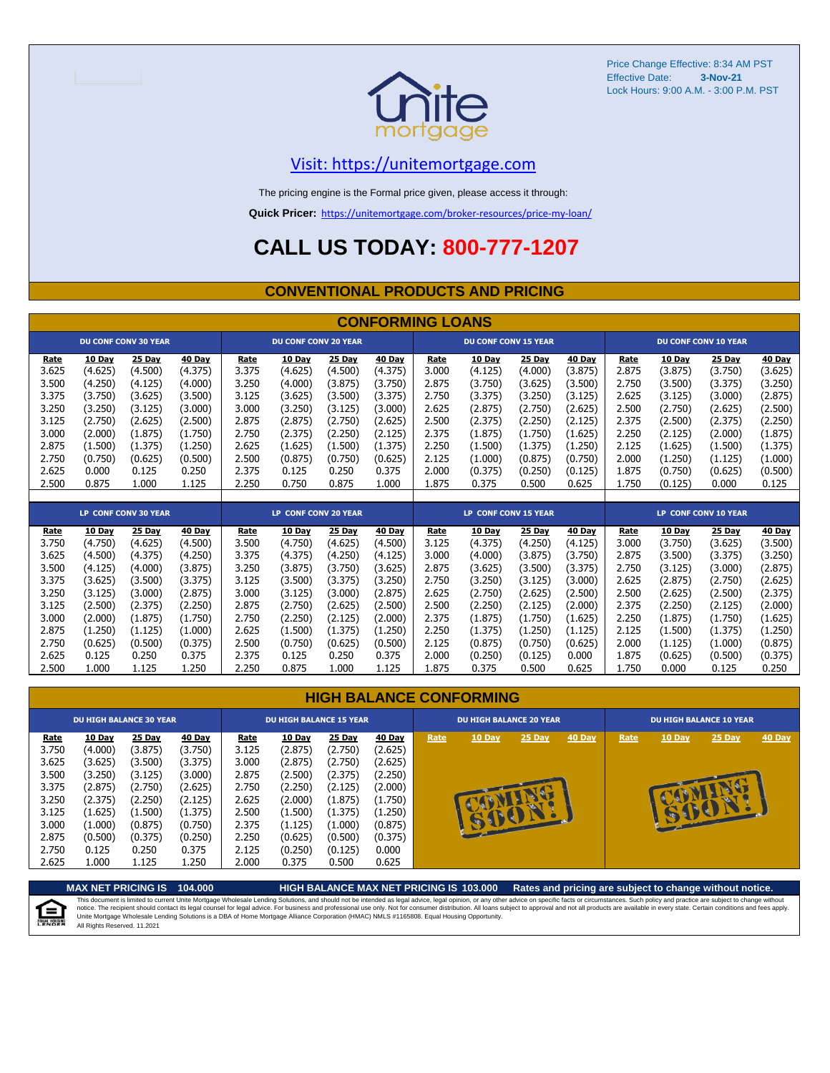

Price Change Effective: 8:34 AM PST Effective Date: Lock Hours: 9:00 A.M. - 3:00 P.M. PST **3-Nov-21**

#### [V](https://unitemortgage.com/)isit: https://unitemortgage.com

The pricing engine is the Formal price given, please access it through:

**Quick Pricer:** [https://un](https://unitemortgage.com/broker-resources/price-my-loan/)itemortgage.com/broker-resources/price-my-loan/

## **CALL US TODAY: 800-777-1207**

#### **CONVENTIONAL PRODUCTS AND PRICING**

|       | <b>CONFORMING LOANS</b> |                             |         |       |                             |         |               |       |                                                            |               |               |       |               |                             |               |
|-------|-------------------------|-----------------------------|---------|-------|-----------------------------|---------|---------------|-------|------------------------------------------------------------|---------------|---------------|-------|---------------|-----------------------------|---------------|
|       |                         | <b>DU CONF CONV 30 YEAR</b> |         |       | <b>DU CONF CONV 20 YEAR</b> |         |               |       | <b>DU CONF CONV 15 YEAR</b>                                |               |               |       |               | <b>DU CONF CONV 10 YEAR</b> |               |
| Rate  | 10 Day                  | 25 Day                      | 40 Day  | Rate  | 10 Day                      | 25 Day  | 40 Day        | Rate  | 10 Day                                                     | 25 Day        | <b>40 Day</b> | Rate  | 10 Day        | 25 Day                      | 40 Day        |
| 3.625 | (4.625)                 | (4.500)                     | (4.375) | 3.375 | (4.625)                     | (4.500) | (4.375)       | 3.000 | (4.125)                                                    | (4.000)       | (3.875)       | 2.875 | (3.875)       | (3.750)                     | (3.625)       |
| 3.500 | (4.250)                 | (4.125)                     | (4.000) | 3.250 | (4.000)                     | (3.875) | (3.750)       | 2.875 | (3.750)                                                    | (3.625)       | (3.500)       | 2.750 | (3.500)       | (3.375)                     | (3.250)       |
| 3.375 | (3.750)                 | (3.625)                     | (3.500) | 3.125 | (3.625)                     | (3.500) | (3.375)       | 2.750 | (3.375)                                                    | (3.250)       | (3.125)       | 2.625 | (3.125)       | (3.000)                     | (2.875)       |
| 3.250 | (3.250)                 | (3.125)                     | (3.000) | 3.000 | (3.250)                     | (3.125) | (3.000)       | 2.625 | (2.875)                                                    | (2.750)       | (2.625)       | 2.500 | (2.750)       | (2.625)                     | (2.500)       |
| 3.125 | (2.750)                 | (2.625)                     | (2.500) | 2.875 | (2.875)                     | (2.750) | (2.625)       | 2.500 | (2.375)                                                    | (2.250)       | (2.125)       | 2.375 | (2.500)       | (2.375)                     | (2.250)       |
| 3.000 | (2.000)                 | (1.875)                     | (1.750) | 2.750 | (2.375)                     | (2.250) | (2.125)       | 2.375 | (1.875)                                                    | (1.750)       | (1.625)       | 2.250 | (2.125)       | (2.000)                     | (1.875)       |
| 2.875 | (1.500)                 | (1.375)                     | (1.250) | 2.625 | (1.625)                     | (1.500) | (1.375)       | 2.250 | (1.500)                                                    | (1.375)       | (1.250)       | 2.125 | (1.625)       | (1.500)                     | (1.375)       |
| 2.750 | (0.750)                 | (0.625)                     | (0.500) | 2.500 | (0.875)                     | (0.750) | (0.625)       | 2.125 | (1.000)                                                    | (0.875)       | (0.750)       | 2.000 | (1.250)       | (1.125)                     | (1.000)       |
| 2.625 | 0.000                   | 0.125                       | 0.250   | 2.375 | 0.125                       | 0.250   | 0.375         | 2.000 | (0.375)                                                    | (0.250)       | (0.125)       | 1.875 | (0.750)       | (0.625)                     | (0.500)       |
| 2.500 | 0.875                   | 1.000                       | 1.125   | 2.250 | 0.750                       | 0.875   | 1.000         | 1.875 | 0.375                                                      | 0.500         | 0.625         | 1.750 | (0.125)       | 0.000                       | 0.125         |
|       |                         |                             |         |       |                             |         |               |       |                                                            |               |               |       |               |                             |               |
|       |                         | <b>LP CONF CONV 30 YEAR</b> |         |       | <b>LP CONF CONV 20 YEAR</b> |         |               |       | <b>LP CONF CONV 15 YEAR</b><br><b>LP CONF CONV 10 YEAR</b> |               |               |       |               |                             |               |
| Rate  | 10 Day                  | 25 Day                      | 40 Day  | Rate  | 10 Day                      | 25 Day  | <b>40 Day</b> | Rate  | 10 Day                                                     | <b>25 Day</b> | 40 Day        | Rate  | <b>10 Day</b> | 25 Day                      | <b>40 Day</b> |
| 3.750 | (4.750)                 | (4.625)                     | (4.500) | 3.500 | (4.750)                     | (4.625) | (4.500)       | 3.125 | (4.375)                                                    | (4.250)       | (4.125)       | 3.000 | (3.750)       | (3.625)                     | (3.500)       |
| 3.625 | (4.500)                 | (4.375)                     | (4.250) | 3.375 | (4.375)                     | (4.250) | (4.125)       | 3.000 | (4.000)                                                    | (3.875)       | (3.750)       | 2.875 | (3.500)       | (3.375)                     | (3.250)       |
| 3.500 | (4.125)                 | (4.000)                     | (3.875) | 3.250 | (3.875)                     | (3.750) | (3.625)       | 2.875 | (3.625)                                                    | (3.500)       | (3.375)       | 2.750 | (3.125)       | (3.000)                     | (2.875)       |
| 3.375 | (3.625)                 | (3.500)                     | (3.375) | 3.125 | (3.500)                     | (3.375) | (3.250)       | 2.750 | (3.250)                                                    | (3.125)       | (3.000)       | 2.625 | (2.875)       | (2.750)                     | (2.625)       |
| 3.250 | (3.125)                 | (3.000)                     | (2.875) | 3.000 | (3.125)                     | (3.000) | (2.875)       | 2.625 | (2.750)                                                    | (2.625)       | (2.500)       | 2.500 | (2.625)       | (2.500)                     | (2.375)       |
| 3.125 | (2.500)                 | (2.375)                     | (2.250) | 2.875 | (2.750)                     | (2.625) | (2.500)       | 2.500 | (2.250)                                                    | (2.125)       | (2.000)       | 2.375 | (2.250)       | (2.125)                     | (2.000)       |
| 3.000 | (2.000)                 | (1.875)                     | (1.750) | 2.750 | (2.250)                     | (2.125) | (2.000)       | 2.375 | (1.875)                                                    | (1.750)       | (1.625)       | 2.250 | (1.875)       | (1.750)                     | (1.625)       |
| 2.875 | (1.250)                 | (1.125)                     | (1.000) | 2.625 | (1.500)                     | (1.375) | (1.250)       | 2.250 | (1.375)                                                    | (1.250)       | (1.125`       | 2.125 | (1.500)       | (1.375)                     | (1.250)       |

|  |  |  | <b>HIGH BALANCE CONFORMING</b> |
|--|--|--|--------------------------------|
|--|--|--|--------------------------------|

2.750 (0.625) (0.500) (0.375) 2.500 (0.750) (0.625) (0.500) 2.125 (0.875) (0.750) (0.625) 2.000 (1.125) (1.000) (0.875) 2.625 0.125 0.250 0.375 2.375 0.125 0.250 0.375 2.000 (0.250) (0.125) 0.000 1.875 (0.625) (0.500) (0.375) 2.500 1.000 1.125 1.250 2.250 0.875 1.000 1.125 1.875 0.375 0.500 0.625 1.750 0.000 0.125 0.250

|                                                                              | <b>DU HIGH BALANCE 30 YEAR</b>                                                                 |                                                                                                |                                                                                                |                                                                              | <b>DU HIGH BALANCE 15 YEAR</b>                                                                        |                                                                                                |                                                                                                |      | <b>DU HIGH BALANCE 20 YEAR</b> |        |        | <b>DU HIGH BALANCE 10 YEAR</b> |               |          |               |  |
|------------------------------------------------------------------------------|------------------------------------------------------------------------------------------------|------------------------------------------------------------------------------------------------|------------------------------------------------------------------------------------------------|------------------------------------------------------------------------------|-------------------------------------------------------------------------------------------------------|------------------------------------------------------------------------------------------------|------------------------------------------------------------------------------------------------|------|--------------------------------|--------|--------|--------------------------------|---------------|----------|---------------|--|
| Rate<br>3.750<br>3.625<br>3.500<br>3.375<br>3.250<br>3.125<br>3.000<br>2.875 | 10 Day<br>(4.000)<br>(3.625)<br>(3.250)<br>(2.875)<br>(2.375)<br>(1.625)<br>(1.000)<br>(0.500) | 25 Day<br>(3.875)<br>(3.500)<br>(3.125)<br>(2.750)<br>(2.250)<br>(1.500)<br>(0.875)<br>(0.375) | 40 Day<br>(3.750)<br>(3.375)<br>(3.000)<br>(2.625)<br>(2.125)<br>(1.375)<br>(0.750)<br>(0.250) | Rate<br>3.125<br>3.000<br>2.875<br>2.750<br>2.625<br>2.500<br>2.375<br>2.250 | <b>10 Day</b><br>(2.875)<br>(2.875)<br>(2.500)<br>(2.250)<br>(2.000)<br>(1.500)<br>(1.125)<br>(0.625) | 25 Day<br>(2.750)<br>(2.750)<br>(2.375)<br>(2.125)<br>(1.875)<br>(1.375)<br>(1.000)<br>(0.500) | 40 Day<br>(2.625)<br>(2.625)<br>(2.250)<br>(2.000)<br>(1.750)<br>(1.250)<br>(0.875)<br>(0.375) | Rate | 10 Day<br><b>START</b>         | 25 Day | 40 Day | Rate                           | <b>10 Day</b> | $25$ Day | <b>40 Day</b> |  |
| 2.750<br>2.625                                                               | 0.125<br>1.000                                                                                 | 0.250<br>1.125                                                                                 | 0.375<br>1.250                                                                                 | 2.125<br>2.000                                                               | (0.250)<br>0.375                                                                                      | (0.125)<br>0.500                                                                               | 0.000<br>0.625                                                                                 |      |                                |        |        |                                |               |          |               |  |

**MAX NET PRICING IS 104.000 HIGH BALANCE MAX NET PRICING IS 103.000 Rates and pricing are subject to change without notice.** This document is limited to current Unite Mortgage Wholesale Lending Solutions, and should not be intended as legal advice, legal opinion, or any other advice on specific facts or circumstances. Such policy and practice ar E) All Rights Reserved. 11.2021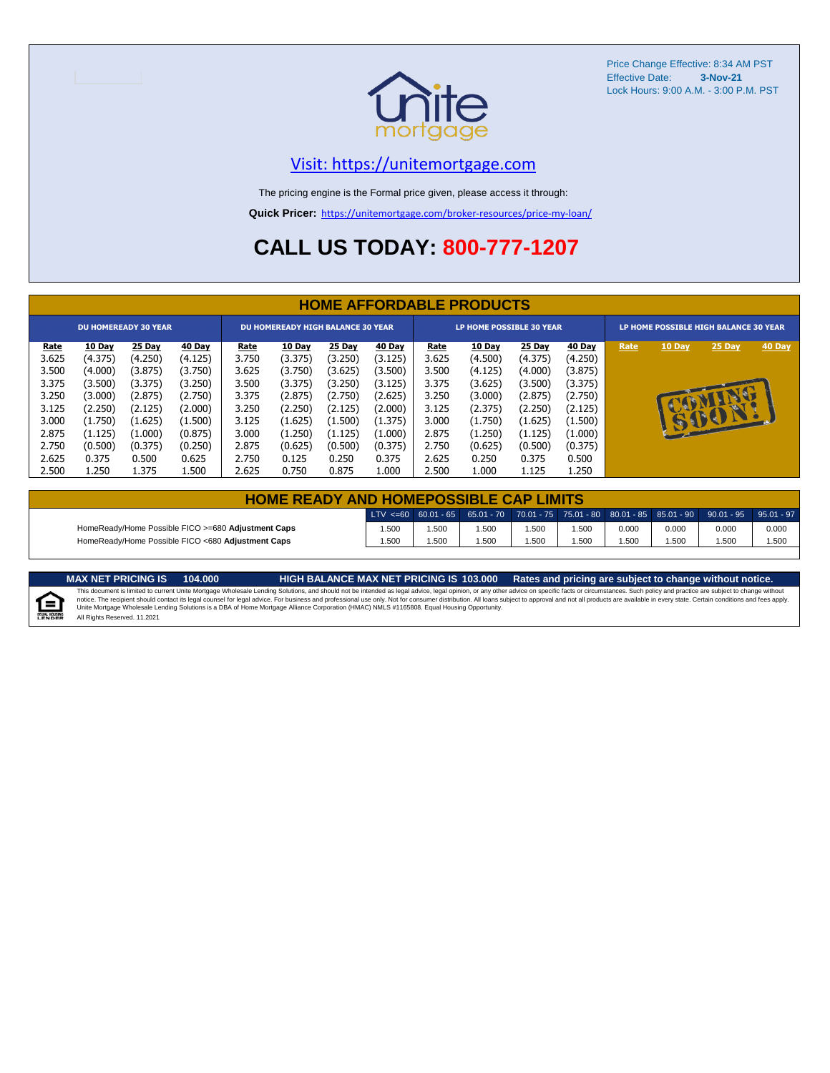

Price Change Effective: 8:34 AM PST Effective Date: **3-Nov-21** Lock Hours: 9:00 A.M. - 3:00 P.M. PST

#### [V](https://unitemortgage.com/)isit: https://unitemortgage.com

The pricing engine is the Formal price given, please access it through:

**Quick Pricer:** [https://un](https://unitemortgage.com/broker-resources/price-my-loan/)itemortgage.com/broker-resources/price-my-loan/

## **CALL US TODAY: 800-777-1207**

|                             | <b>HOME AFFORDABLE PRODUCTS</b> |         |         |             |                                          |         |               |             |                                 |         |         |  |                                                                             |              |  |  |
|-----------------------------|---------------------------------|---------|---------|-------------|------------------------------------------|---------|---------------|-------------|---------------------------------|---------|---------|--|-----------------------------------------------------------------------------|--------------|--|--|
| <b>DU HOMEREADY 30 YEAR</b> |                                 |         |         |             | <b>DU HOMEREADY HIGH BALANCE 30 YEAR</b> |         |               |             | <b>LP HOME POSSIBLE 30 YEAR</b> |         |         |  | LP HOME POSSIBLE HIGH BALANCE 30 YEAR<br>40 Day<br>10 Day<br>25 Day<br>Rate |              |  |  |
| <u>Rate</u>                 | 10 Day                          | 25 Day  | 40 Day  | <u>Rate</u> | <b>10 Day</b>                            | 25 Day  | <b>40 Day</b> | <u>Rate</u> | <b>10 Day</b>                   | 25 Day  | 40 Day  |  |                                                                             |              |  |  |
| 3.625                       | (4.375)                         | (4.250) | (4.125) | 3.750       | (3.375)                                  | (3.250) | (3.125)       | 3.625       | (4.500)                         | (4.375) | (4.250) |  |                                                                             |              |  |  |
| 3.500                       | (4.000)                         | (3.875) | (3.750) | 3.625       | (3.750)                                  | (3.625) | (3.500)       | 3.500       | (4.125)                         | (4.000) | (3.875) |  |                                                                             |              |  |  |
| 3.375                       | (3.500)                         | (3.375) | (3.250) | 3.500       | (3.375)                                  | (3.250) | (3.125)       | 3.375       | (3.625)                         | (3.500) | (3.375) |  |                                                                             |              |  |  |
| 3.250                       | (3.000)                         | (2.875) | (2.750) | 3.375       | (2.875)                                  | (2.750) | (2.625)       | 3.250       | (3.000)                         | (2.875) | (2.750) |  |                                                                             |              |  |  |
| 3.125                       | (2.250)                         | (2.125) | (2.000) | 3.250       | (2.250)                                  | (2.125) | (2.000)       | 3.125       | (2.375)                         | (2.250) | (2.125) |  |                                                                             |              |  |  |
| 3.000                       | (1.750)                         | (1.625) | (1.500) | 3.125       | (1.625)                                  | (1.500) | (1.375)       | 3.000       | (1.750)                         | (1.625) | (1.500) |  | $\mathbf{F}$                                                                | $\mathbf{P}$ |  |  |
| 2.875                       | (1.125)                         | (1.000) | (0.875) | 3.000       | (1.250)                                  | (1.125) | (1.000)       | 2.875       | (1.250)                         | (1.125) | (1.000) |  |                                                                             |              |  |  |
| 2.750                       | (0.500)                         | (0.375) | (0.250) | 2.875       | (0.625)                                  | (0.500) | (0.375)       | 2.750       | (0.625)                         | (0.500) | (0.375) |  |                                                                             |              |  |  |
| 2.625                       | 0.375                           | 0.500   | 0.625   | 2.750       | 0.125                                    | 0.250   | 0.375         | 2.625       | 0.250                           | 0.375   | 0.500   |  |                                                                             |              |  |  |
| 2.500                       | 1.250                           | 1.375   | L.500   | 2.625       | 0.750                                    | 0.875   | 1.000         | 2.500       | 1.000                           | 1.125   | 1.250   |  |                                                                             |              |  |  |

| <b>HOME READY AND HOMEPOSSIBLE CAP LIMITS</b>      |       |      |      |      |       |       |       |                                                                                                              |       |
|----------------------------------------------------|-------|------|------|------|-------|-------|-------|--------------------------------------------------------------------------------------------------------------|-------|
|                                                    |       |      |      |      |       |       |       | $\text{LTV} \leq 60$ 60.01 - 65 65.01 - 70 70.01 - 75 75.01 - 80 80.01 - 85 85.01 - 90 90.01 - 95 95.01 - 97 |       |
| HomeReady/Home Possible FICO >=680 Adjustment Caps | .500  | .500 | .500 | .500 | 1.500 | 0.000 | 0.000 | 0.000                                                                                                        | 0.000 |
| HomeReady/Home Possible FICO <680 Adjustment Caps  | 1.500 | .500 | .500 | .500 | .500  | .500  | .500  | .500                                                                                                         | 1.500 |

E

MAX NET PRICING IS 103.000 Rates and pricing are subject to change without notice.<br>This document is limited to current Unite Mortgage Wholesale Lending Solutions, and should not be intended as legal advice, legal opinion, All Rights Reserved. 11.2021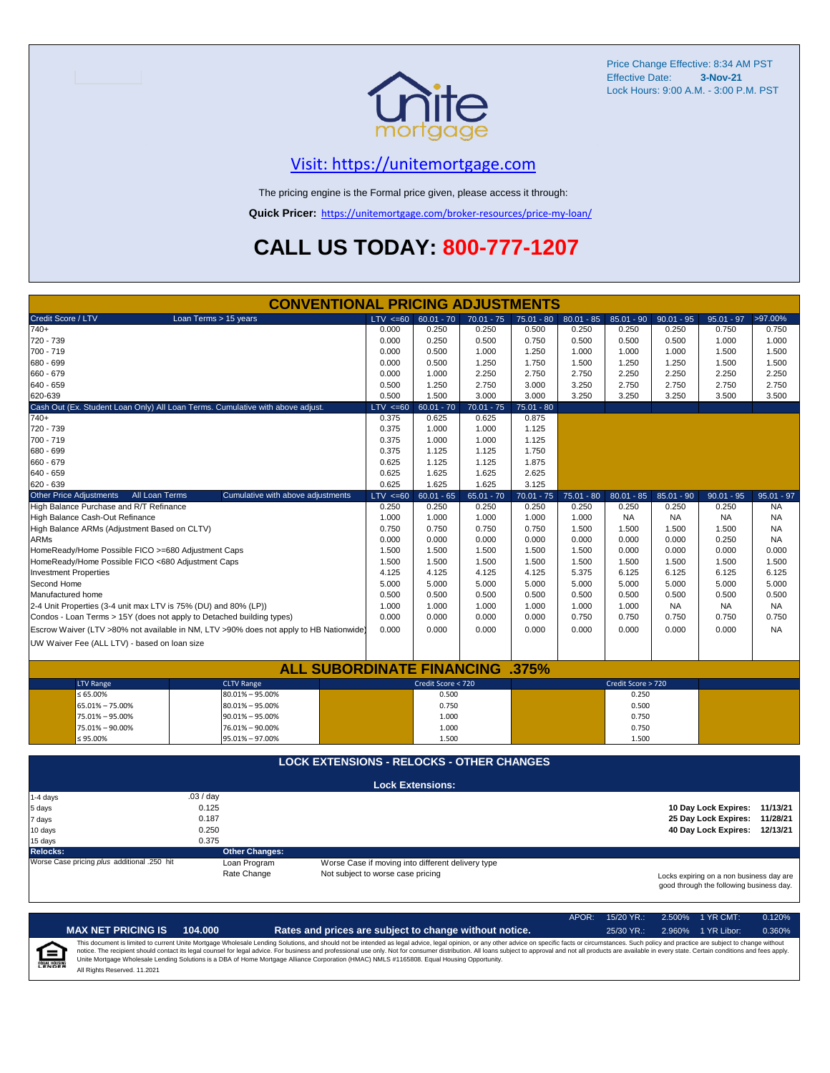

Price Change Effective: 8:34 AM PST Effective Date: **3-Nov-21** Lock Hours: 9:00 A.M. - 3:00 P.M. PST

#### [V](https://unitemortgage.com/)isit: https://unitemortgage.com

The pricing engine is the Formal price given, please access it through:

**Quick Pricer:** [https://un](https://unitemortgage.com/broker-resources/price-my-loan/)itemortgage.com/broker-resources/price-my-loan/

# **CALL US TODAY: 800-777-1207**

| <b>CONVENTIONAL PRICING ADJUSTMENTS</b>                                                                                                                                              |                                              |  |  |  |  |  |  |  |  |  |  |  |
|--------------------------------------------------------------------------------------------------------------------------------------------------------------------------------------|----------------------------------------------|--|--|--|--|--|--|--|--|--|--|--|
| Credit Score / LTV<br>Loan Terms > 15 years<br>LTV < 60<br>$60.01 - 70$<br>$70.01 - 75$<br>$80.01 - 85$<br>$85.01 - 90$<br>$75.01 - 80$                                              | >97.00%<br>$90.01 - 95$<br>$95.01 - 97$      |  |  |  |  |  |  |  |  |  |  |  |
| $740+$<br>0.000<br>0.250<br>0.250<br>0.500<br>0.250<br>0.250                                                                                                                         | 0.250<br>0.750<br>0.750                      |  |  |  |  |  |  |  |  |  |  |  |
| 720 - 739<br>0.000<br>0.250<br>0.500<br>0.750<br>0.500<br>0.500                                                                                                                      | 0.500<br>1.000<br>1.000                      |  |  |  |  |  |  |  |  |  |  |  |
| 700 - 719<br>0.000<br>0.500<br>1.000<br>1.250<br>1.000<br>1.000                                                                                                                      | 1.000<br>1.500<br>1.500                      |  |  |  |  |  |  |  |  |  |  |  |
| 680 - 699<br>0.000<br>1.250<br>1.750<br>1.250<br>0.500<br>1.500                                                                                                                      | 1.250<br>1.500<br>1.500                      |  |  |  |  |  |  |  |  |  |  |  |
| 660 - 679<br>0.000<br>1.000<br>2.250<br>2.750<br>2.750<br>2.250                                                                                                                      | 2.250<br>2.250<br>2.250                      |  |  |  |  |  |  |  |  |  |  |  |
| $640 - 659$<br>0.500<br>1.250<br>2.750<br>3.000<br>3.250<br>2.750                                                                                                                    | 2.750<br>2.750<br>2.750                      |  |  |  |  |  |  |  |  |  |  |  |
| 620-639<br>0.500<br>1.500<br>3.000<br>3.000<br>3.250<br>3.250                                                                                                                        | 3.250<br>3.500<br>3.500                      |  |  |  |  |  |  |  |  |  |  |  |
| Cash Out (Ex. Student Loan Only) All Loan Terms. Cumulative with above adjust.<br>$LTV < =60$<br>$60.01 - 70$<br>$70.01 - 75$<br>$75.01 - 80$                                        |                                              |  |  |  |  |  |  |  |  |  |  |  |
| 0.375<br>0.875<br>$740+$<br>0.625<br>0.625                                                                                                                                           |                                              |  |  |  |  |  |  |  |  |  |  |  |
| 720 - 739<br>0.375<br>1.000<br>1.000<br>1.125                                                                                                                                        |                                              |  |  |  |  |  |  |  |  |  |  |  |
| 700 - 719<br>0.375<br>1.000<br>1.000<br>1.125                                                                                                                                        |                                              |  |  |  |  |  |  |  |  |  |  |  |
| 680 - 699<br>0.375<br>1.125<br>1.125<br>1.750                                                                                                                                        |                                              |  |  |  |  |  |  |  |  |  |  |  |
| 660 - 679<br>0.625<br>1.125<br>1.875<br>1.125                                                                                                                                        |                                              |  |  |  |  |  |  |  |  |  |  |  |
| 640 - 659<br>0.625<br>1.625<br>1.625<br>2.625                                                                                                                                        |                                              |  |  |  |  |  |  |  |  |  |  |  |
| 0.625<br>1.625<br>620 - 639<br>1.625<br>3.125                                                                                                                                        |                                              |  |  |  |  |  |  |  |  |  |  |  |
| <b>Other Price Adjustments</b><br>All Loan Terms<br>$60.01 - 65$<br>Cumulative with above adjustments<br>$LTV < =60$<br>$65.01 - 70$<br>$70.01 - 75$<br>$75.01 - 80$<br>$80.01 - 85$ | $95.01 - 97$<br>$85.01 - 90$<br>$90.01 - 95$ |  |  |  |  |  |  |  |  |  |  |  |
| High Balance Purchase and R/T Refinance<br>0.250<br>0.250<br>0.250<br>0.250<br>0.250<br>0.250                                                                                        | 0.250<br>0.250<br><b>NA</b>                  |  |  |  |  |  |  |  |  |  |  |  |
| High Balance Cash-Out Refinance<br>1.000<br>1.000<br>1.000<br>1.000<br>1.000<br><b>NA</b>                                                                                            | <b>NA</b><br><b>NA</b><br><b>NA</b>          |  |  |  |  |  |  |  |  |  |  |  |
| 0.750<br>0.750<br>High Balance ARMs (Adjustment Based on CLTV)<br>0.750<br>0.750<br>1.500<br>1.500                                                                                   | <b>NA</b><br>1.500<br>1.500                  |  |  |  |  |  |  |  |  |  |  |  |
| <b>ARMs</b><br>0.000<br>0.000<br>0.000<br>0.000<br>0.000<br>0.000                                                                                                                    | 0.000<br>0.250<br><b>NA</b>                  |  |  |  |  |  |  |  |  |  |  |  |
| HomeReady/Home Possible FICO >=680 Adjustment Caps<br>1.500<br>1.500<br>1.500<br>1.500<br>1.500<br>0.000                                                                             | 0.000<br>0.000<br>0.000                      |  |  |  |  |  |  |  |  |  |  |  |
| HomeReady/Home Possible FICO <680 Adjustment Caps<br>1.500<br>1.500<br>1.500<br>1.500<br>1.500<br>1.500                                                                              | 1.500<br>1.500<br>1.500                      |  |  |  |  |  |  |  |  |  |  |  |
| 4.125<br>4.125<br>4.125<br>5.375<br><b>Investment Properties</b><br>4.125<br>6.125                                                                                                   | 6.125<br>6.125<br>6.125                      |  |  |  |  |  |  |  |  |  |  |  |
| Second Home<br>5.000<br>5.000<br>5.000<br>5.000<br>5.000<br>5.000                                                                                                                    | 5.000<br>5.000<br>5.000                      |  |  |  |  |  |  |  |  |  |  |  |
| Manufactured home<br>0.500<br>0.500<br>0.500<br>0.500<br>0.500<br>0.500                                                                                                              | 0.500<br>0.500<br>0.500                      |  |  |  |  |  |  |  |  |  |  |  |
| 2-4 Unit Properties (3-4 unit max LTV is 75% (DU) and 80% (LP))<br>1.000<br>1.000<br>1.000<br>1.000<br>1.000<br>1.000                                                                | <b>NA</b><br><b>NA</b><br><b>NA</b>          |  |  |  |  |  |  |  |  |  |  |  |
| Condos - Loan Terms > 15Y (does not apply to Detached building types)<br>0.000<br>0.000<br>0.000<br>0.750<br>0.750<br>0.000                                                          | 0.750<br>0.750<br>0.750                      |  |  |  |  |  |  |  |  |  |  |  |
| Escrow Waiver (LTV >80% not available in NM, LTV >90% does not apply to HB Nationwide)<br>0.000<br>0.000<br>0.000<br>0.000<br>0.000<br>0.000                                         | 0.000<br>0.000<br><b>NA</b>                  |  |  |  |  |  |  |  |  |  |  |  |
|                                                                                                                                                                                      |                                              |  |  |  |  |  |  |  |  |  |  |  |
| UW Waiver Fee (ALL LTV) - based on loan size                                                                                                                                         |                                              |  |  |  |  |  |  |  |  |  |  |  |
| <b>ALL SUBORDINATE FINANCING .375%</b>                                                                                                                                               |                                              |  |  |  |  |  |  |  |  |  |  |  |
|                                                                                                                                                                                      |                                              |  |  |  |  |  |  |  |  |  |  |  |
| Credit Score < 720<br>Credit Score > 720<br><b>LTV Range</b><br><b>CLTV Range</b>                                                                                                    |                                              |  |  |  |  |  |  |  |  |  |  |  |
| $80.01\% - 95.00\%$<br>0.500<br>$\leq 65.00\%$<br>0.250                                                                                                                              |                                              |  |  |  |  |  |  |  |  |  |  |  |
| 65.01% - 75.00%<br>$80.01\% - 95.00\%$<br>0.750<br>0.500                                                                                                                             |                                              |  |  |  |  |  |  |  |  |  |  |  |
| 75.01% - 95.00%<br>$90.01\% - 95.00\%$<br>1.000<br>0.750                                                                                                                             |                                              |  |  |  |  |  |  |  |  |  |  |  |
| 75.01% - 90.00%<br>76.01% - 90.00%<br>1.000<br>0.750                                                                                                                                 |                                              |  |  |  |  |  |  |  |  |  |  |  |
| $≤ 95.00\%$<br>95.01% - 97.00%<br>1.500<br>1.500                                                                                                                                     |                                              |  |  |  |  |  |  |  |  |  |  |  |
| <b>LOCK EXTENSIONS - RELOCKS - OTHER CHANGES</b>                                                                                                                                     |                                              |  |  |  |  |  |  |  |  |  |  |  |
|                                                                                                                                                                                      |                                              |  |  |  |  |  |  |  |  |  |  |  |
| <b>Lock Extensions:</b>                                                                                                                                                              |                                              |  |  |  |  |  |  |  |  |  |  |  |
| .03 / day<br>1-4 days                                                                                                                                                                |                                              |  |  |  |  |  |  |  |  |  |  |  |
| 0.125<br>5 days                                                                                                                                                                      | 10 Day Lock Expires: 11/13/21                |  |  |  |  |  |  |  |  |  |  |  |
| 0.187<br>7 days                                                                                                                                                                      | 25 Day Lock Expires: 11/28/21                |  |  |  |  |  |  |  |  |  |  |  |
| 0.250<br>10 days                                                                                                                                                                     | 40 Day Lock Expires: 12/13/21                |  |  |  |  |  |  |  |  |  |  |  |
| 15 days<br>0.375                                                                                                                                                                     |                                              |  |  |  |  |  |  |  |  |  |  |  |
| <b>Relocks:</b><br><b>Other Changes:</b>                                                                                                                                             |                                              |  |  |  |  |  |  |  |  |  |  |  |
|                                                                                                                                                                                      |                                              |  |  |  |  |  |  |  |  |  |  |  |
| Worse Case pricing plus additional .250 hit<br>Worse Case if moving into different delivery type<br>Loan Program                                                                     |                                              |  |  |  |  |  |  |  |  |  |  |  |
| Rate Change<br>Not subject to worse case pricing                                                                                                                                     | Locks expiring on a non business day are     |  |  |  |  |  |  |  |  |  |  |  |

|                                    |                              |         |                                                                                                                                                                                                                                                                                                                                                                                                                                                                                                                                                                                                                | $APOR+$ | $15/20$ YR.: | 2.500% 1 YR CMT:   | 0.120% |
|------------------------------------|------------------------------|---------|----------------------------------------------------------------------------------------------------------------------------------------------------------------------------------------------------------------------------------------------------------------------------------------------------------------------------------------------------------------------------------------------------------------------------------------------------------------------------------------------------------------------------------------------------------------------------------------------------------------|---------|--------------|--------------------|--------|
|                                    | <b>MAX NET PRICING IS</b>    | 104.000 | Rates and prices are subject to change without notice.                                                                                                                                                                                                                                                                                                                                                                                                                                                                                                                                                         |         | $25/30$ YR.: | 2.960% 1 YR Libor: | 0.360% |
| $\epsilon$<br><b>EQUAL HOUSING</b> | All Rights Reserved. 11.2021 |         | This document is limited to current Unite Mortgage Wholesale Lending Solutions, and should not be intended as legal advice, legal opinion, or any other advice on specific facts or circumstances. Such policy and practice ar<br>notice. The recipient should contact its legal counsel for legal advice. For business and professional use only. Not for consumer distribution. All loans subject to approval and not all products are available in every stat<br>Unite Mortgage Wholesale Lending Solutions is a DBA of Home Mortgage Alliance Corporation (HMAC) NMLS #1165808. Equal Housing Opportunity. |         |              |                    |        |